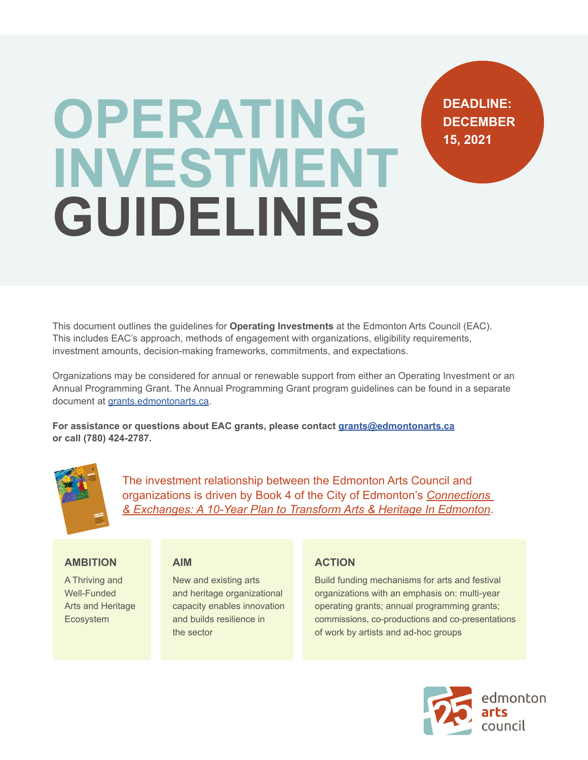# **OPERATING INVESTMENT GUIDELINES**

This document outlines the guidelines for **Operating Investments** at the Edmonton Arts Council (EAC). This includes EAC's approach, methods of engagement with organizations, eligibility requirements, investment amounts, decision-making frameworks, commitments, and expectations.

Organizations may be considered for annual or renewable support from either an Operating Investment or an Annual Programming Grant. The Annual Programming Grant program guidelines can be found in a separate document at [grants.edmontonarts.ca.](http://grants.edmontonarts.ca)

**For assistance or questions about EAC grants, please contact [grants@edmontonarts.ca](mailto:grants@edmontonarts.ca) or call (780) 424-2787.**



The investment relationship between the Edmonton Arts Council and organizations is driven by Book 4 of the City of Edmonton's *[Connections](https://www.edmontonarts.ca/static_media/pdfs/files/eac_misc/C+E/Connections%20and%20Exchanges%20Final.pdf)  [& Exchanges: A 10-Year Plan to Transform Arts & Heritage In Edmonton](https://www.edmontonarts.ca/static_media/pdfs/files/eac_misc/C+E/Connections%20and%20Exchanges%20Final.pdf)*.

#### **AMBITION**

A Thriving and Well-Funded Arts and Heritage Ecosystem

#### **AIM**

New and existing arts and heritage organizational capacity enables innovation and builds resilience in the sector

#### **ACTION**

Build funding mechanisms for arts and festival organizations with an emphasis on: multi-year operating grants; annual programming grants; commissions, co-productions and co-presentations of work by artists and ad-hoc groups



**DEADLINE: DECEMBER** 

**15, 2021**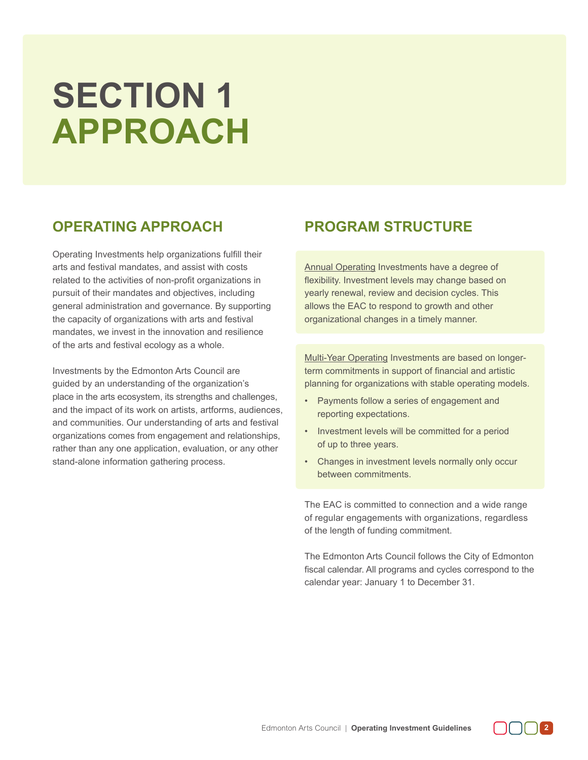# **SECTION 1 APPROACH**

# **OPERATING APPROACH**

Operating Investments help organizations fulfill their arts and festival mandates, and assist with costs related to the activities of non-profit organizations in pursuit of their mandates and objectives, including general administration and governance. By supporting the capacity of organizations with arts and festival mandates, we invest in the innovation and resilience of the arts and festival ecology as a whole.

Investments by the Edmonton Arts Council are guided by an understanding of the organization's place in the arts ecosystem, its strengths and challenges, and the impact of its work on artists, artforms, audiences, and communities. Our understanding of arts and festival organizations comes from engagement and relationships, rather than any one application, evaluation, or any other stand-alone information gathering process.

# **PROGRAM STRUCTURE**

Annual Operating Investments have a degree of flexibility. Investment levels may change based on yearly renewal, review and decision cycles. This allows the EAC to respond to growth and other organizational changes in a timely manner.

Multi-Year Operating Investments are based on longerterm commitments in support of financial and artistic planning for organizations with stable operating models.

- Payments follow a series of engagement and reporting expectations.
- Investment levels will be committed for a period of up to three years.
- Changes in investment levels normally only occur between commitments.

The EAC is committed to connection and a wide range of regular engagements with organizations, regardless of the length of funding commitment.

The Edmonton Arts Council follows the City of Edmonton fiscal calendar. All programs and cycles correspond to the calendar year: January 1 to December 31.

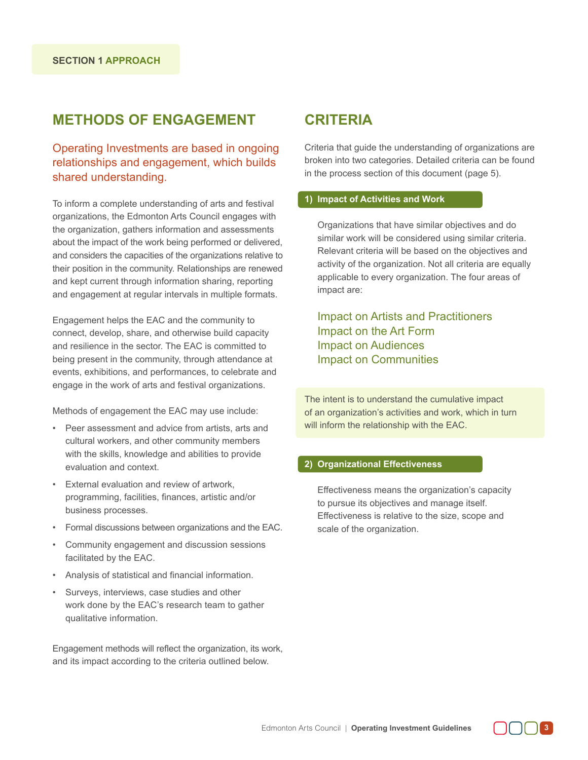# **METHODS OF ENGAGEMENT**

Operating Investments are based in ongoing relationships and engagement, which builds shared understanding.

To inform a complete understanding of arts and festival organizations, the Edmonton Arts Council engages with the organization, gathers information and assessments about the impact of the work being performed or delivered, and considers the capacities of the organizations relative to their position in the community. Relationships are renewed and kept current through information sharing, reporting and engagement at regular intervals in multiple formats.

Engagement helps the EAC and the community to connect, develop, share, and otherwise build capacity and resilience in the sector. The EAC is committed to being present in the community, through attendance at events, exhibitions, and performances, to celebrate and engage in the work of arts and festival organizations.

Methods of engagement the EAC may use include:

- Peer assessment and advice from artists, arts and cultural workers, and other community members with the skills, knowledge and abilities to provide evaluation and context.
- External evaluation and review of artwork, programming, facilities, finances, artistic and/or business processes.
- Formal discussions between organizations and the EAC.
- Community engagement and discussion sessions facilitated by the EAC.
- Analysis of statistical and financial information.
- Surveys, interviews, case studies and other work done by the EAC's research team to gather qualitative information.

Engagement methods will reflect the organization, its work, and its impact according to the criteria outlined below.

### **CRITERIA**

Criteria that guide the understanding of organizations are broken into two categories. Detailed criteria can be found in the process section of this document (page 5).

#### **1) Impact of Activities and Work**

Organizations that have similar objectives and do similar work will be considered using similar criteria. Relevant criteria will be based on the objectives and activity of the organization. Not all criteria are equally applicable to every organization. The four areas of impact are:

Impact on Artists and Practitioners Impact on the Art Form Impact on Audiences Impact on Communities

The intent is to understand the cumulative impact of an organization's activities and work, which in turn will inform the relationship with the EAC.

#### **2) Organizational Effectiveness**

Effectiveness means the organization's capacity to pursue its objectives and manage itself. Effectiveness is relative to the size, scope and scale of the organization.

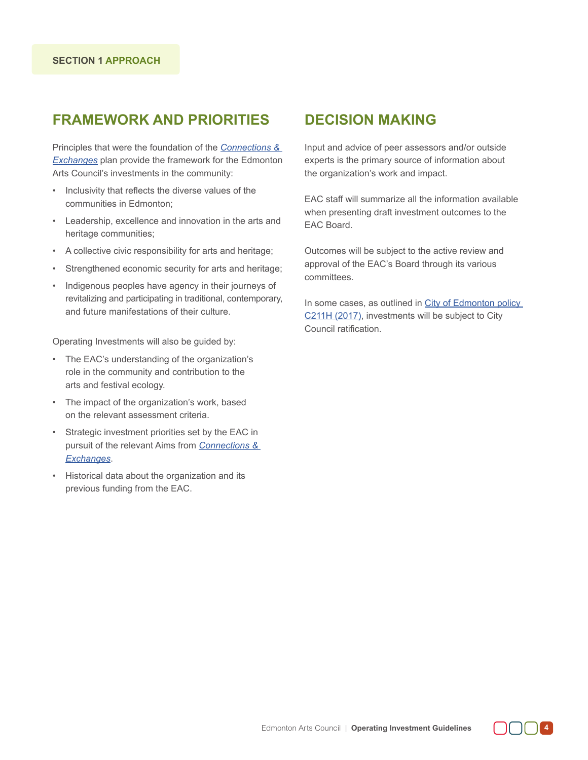# **FRAMEWORK AND PRIORITIES**

Principles that were the foundation of the *[Connections &](https://www.edmontonarts.ca/static_media/pdfs/files/eac_misc/C+E/Connections%20and%20Exchanges%20Final.pdf)  [Exchanges](https://www.edmontonarts.ca/static_media/pdfs/files/eac_misc/C+E/Connections%20and%20Exchanges%20Final.pdf)* plan provide the framework for the Edmonton Arts Council's investments in the community:

- Inclusivity that reflects the diverse values of the communities in Edmonton;
- Leadership, excellence and innovation in the arts and heritage communities;
- A collective civic responsibility for arts and heritage;
- Strengthened economic security for arts and heritage;
- Indigenous peoples have agency in their journeys of revitalizing and participating in traditional, contemporary, and future manifestations of their culture.

Operating Investments will also be guided by:

- The EAC's understanding of the organization's role in the community and contribution to the arts and festival ecology.
- The impact of the organization's work, based on the relevant assessment criteria.
- Strategic investment priorities set by the EAC in pursuit of the relevant Aims from *[Connections &](https://www.edmontonarts.ca/static_media/pdfs/files/eac_misc/C+E/Connections%20and%20Exchanges%20Final.pdf)  [Exchanges](https://www.edmontonarts.ca/static_media/pdfs/files/eac_misc/C+E/Connections%20and%20Exchanges%20Final.pdf)*.
- Historical data about the organization and its previous funding from the EAC.

### **DECISION MAKING**

Input and advice of peer assessors and/or outside experts is the primary source of information about the organization's work and impact.

EAC staff will summarize all the information available when presenting draft investment outcomes to the EAC Board.

Outcomes will be subject to the active review and approval of the EAC's Board through its various committees.

In some cases, as outlined in [City of Edmonton policy](https://www.edmonton.ca/sites/default/files/public-files/documents/c211h.pdf)  [C211H \(2017\)](https://www.edmonton.ca/sites/default/files/public-files/documents/c211h.pdf), investments will be subject to City Council ratification.

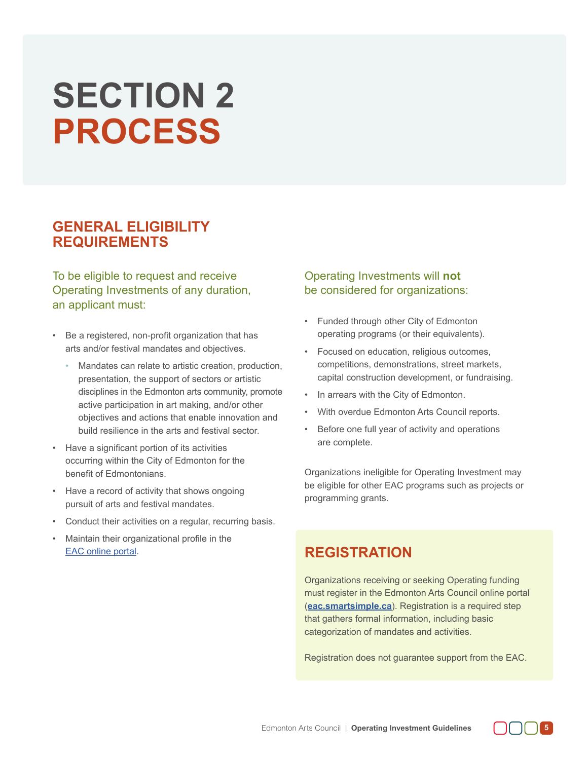# **SECTION 2 PROCESS**

# **GENERAL ELIGIBILITY REQUIREMENTS**

To be eligible to request and receive Operating Investments of any duration, an applicant must:

- Be a registered, non-profit organization that has arts and/or festival mandates and objectives.
	- Mandates can relate to artistic creation, production, presentation, the support of sectors or artistic disciplines in the Edmonton arts community, promote active participation in art making, and/or other objectives and actions that enable innovation and build resilience in the arts and festival sector.
- Have a significant portion of its activities occurring within the City of Edmonton for the benefit of Edmontonians.
- Have a record of activity that shows ongoing pursuit of arts and festival mandates.
- Conduct their activities on a regular, recurring basis.
- Maintain their organizational profile in the [EAC online portal](http://eac.smartsimple.ca).

#### Operating Investments will **not** be considered for organizations:

- Funded through other City of Edmonton operating programs (or their equivalents).
- Focused on education, religious outcomes, competitions, demonstrations, street markets, capital construction development, or fundraising.
- In arrears with the City of Edmonton.
- With overdue Edmonton Arts Council reports.
- Before one full year of activity and operations are complete.

Organizations ineligible for Operating Investment may be eligible for other EAC programs such as projects or programming grants.

# **REGISTRATION**

Organizations receiving or seeking Operating funding must register in the Edmonton Arts Council online portal (**[eac.smartsimple.ca](http://eac.smartsimple.ca)**). Registration is a required step that gathers formal information, including basic categorization of mandates and activities.

Registration does not guarantee support from the EAC.

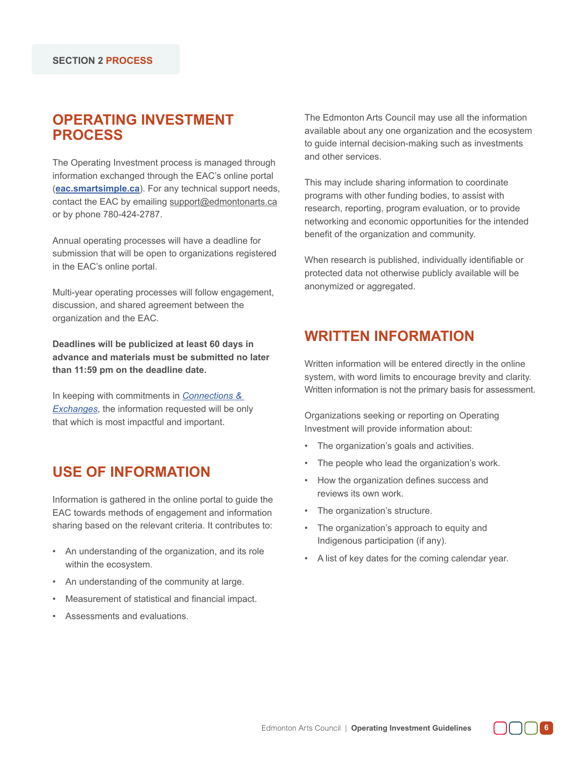# **OPERATING INVESTMENT PROCESS**

The Operating Investment process is managed through information exchanged through the EAC's online portal (**[eac.smartsimple.ca](http://eac.smartsimple.ca)**). For any technical support needs, contact the EAC by emailing support@edmontonarts.ca or by phone 780-424-2787.

Annual operating processes will have a deadline for submission that will be open to organizations registered in the EAC's online portal.

Multi-year operating processes will follow engagement, discussion, and shared agreement between the organization and the EAC.

**Deadlines will be publicized at least 60 days in advance and materials must be submitted no later than 11:59 pm on the deadline date.** 

In keeping with commitments in *[Connections &](https://www.edmontonarts.ca/static_media/pdfs/files/eac_misc/C+E/Connections%20and%20Exchanges%20Final.pdf)  [Exchanges](https://www.edmontonarts.ca/static_media/pdfs/files/eac_misc/C+E/Connections%20and%20Exchanges%20Final.pdf)*, the information requested will be only that which is most impactful and important.

# **USE OF INFORMATION**

Information is gathered in the online portal to guide the EAC towards methods of engagement and information sharing based on the relevant criteria. It contributes to:

- An understanding of the organization, and its role within the ecosystem.
- An understanding of the community at large.
- Measurement of statistical and financial impact.
- Assessments and evaluations.

The Edmonton Arts Council may use all the information available about any one organization and the ecosystem to guide internal decision-making such as investments and other services.

This may include sharing information to coordinate programs with other funding bodies, to assist with research, reporting, program evaluation, or to provide networking and economic opportunities for the intended benefit of the organization and community.

When research is published, individually identifiable or protected data not otherwise publicly available will be anonymized or aggregated.

# **WRITTEN INFORMATION**

Written information will be entered directly in the online system, with word limits to encourage brevity and clarity. Written information is not the primary basis for assessment.

Organizations seeking or reporting on Operating Investment will provide information about:

- The organization's goals and activities.
- The people who lead the organization's work.
- How the organization defines success and reviews its own work.
- The organization's structure.
- The organization's approach to equity and Indigenous participation (if any).
- A list of key dates for the coming calendar year.

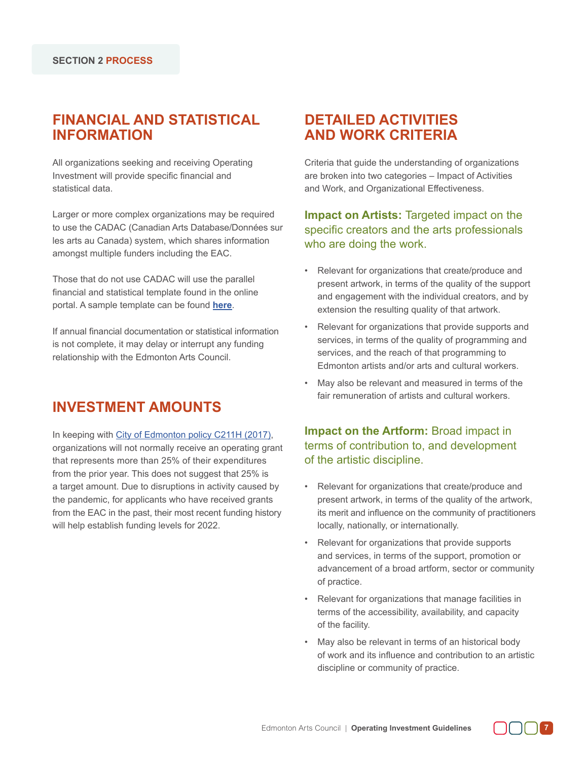# **FINANCIAL AND STATISTICAL INFORMATION**

All organizations seeking and receiving Operating Investment will provide specific financial and statistical data.

Larger or more complex organizations may be required to use the CADAC (Canadian Arts Database/Données sur les arts au Canada) system, which shares information amongst multiple funders including the EAC.

Those that do not use CADAC will use the parallel financial and statistical template found in the online portal. A sample template can be found **[here](https://grants.edmontonarts.ca/static_media/pdfs/grantapps/Financials&StatisticalForms2022-ProgrammingGrant1.pdf)**.

If annual financial documentation or statistical information is not complete, it may delay or interrupt any funding relationship with the Edmonton Arts Council.

# **INVESTMENT AMOUNTS**

In keeping with [City of Edmonton policy C211H \(2017\)](https://www.edmonton.ca/sites/default/files/public-files/documents/c211h.pdf), organizations will not normally receive an operating grant that represents more than 25% of their expenditures from the prior year. This does not suggest that 25% is a target amount. Due to disruptions in activity caused by the pandemic, for applicants who have received grants from the EAC in the past, their most recent funding history will help establish funding levels for 2022.

# **DETAILED ACTIVITIES AND WORK CRITERIA**

Criteria that guide the understanding of organizations are broken into two categories – Impact of Activities and Work, and Organizational Effectiveness.

#### **Impact on Artists:** Targeted impact on the specific creators and the arts professionals who are doing the work.

- Relevant for organizations that create/produce and present artwork, in terms of the quality of the support and engagement with the individual creators, and by extension the resulting quality of that artwork.
- Relevant for organizations that provide supports and services, in terms of the quality of programming and services, and the reach of that programming to Edmonton artists and/or arts and cultural workers.
- May also be relevant and measured in terms of the fair remuneration of artists and cultural workers.

**Impact on the Artform:** Broad impact in terms of contribution to, and development of the artistic discipline.

- Relevant for organizations that create/produce and present artwork, in terms of the quality of the artwork, its merit and influence on the community of practitioners locally, nationally, or internationally.
- Relevant for organizations that provide supports and services, in terms of the support, promotion or advancement of a broad artform, sector or community of practice.
- Relevant for organizations that manage facilities in terms of the accessibility, availability, and capacity of the facility.
- May also be relevant in terms of an historical body of work and its influence and contribution to an artistic discipline or community of practice.

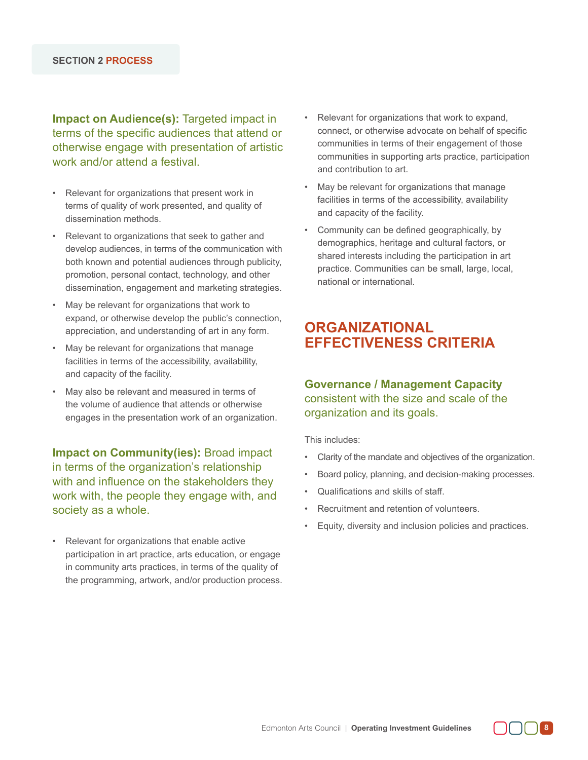**Impact on Audience(s):** Targeted impact in terms of the specific audiences that attend or otherwise engage with presentation of artistic work and/or attend a festival

- Relevant for organizations that present work in terms of quality of work presented, and quality of dissemination methods.
- Relevant to organizations that seek to gather and develop audiences, in terms of the communication with both known and potential audiences through publicity, promotion, personal contact, technology, and other dissemination, engagement and marketing strategies.
- May be relevant for organizations that work to expand, or otherwise develop the public's connection, appreciation, and understanding of art in any form.
- May be relevant for organizations that manage facilities in terms of the accessibility, availability, and capacity of the facility.
- May also be relevant and measured in terms of the volume of audience that attends or otherwise engages in the presentation work of an organization.

**Impact on Community(ies):** Broad impact in terms of the organization's relationship with and influence on the stakeholders they work with, the people they engage with, and society as a whole.

• Relevant for organizations that enable active participation in art practice, arts education, or engage in community arts practices, in terms of the quality of the programming, artwork, and/or production process.

- Relevant for organizations that work to expand, connect, or otherwise advocate on behalf of specific communities in terms of their engagement of those communities in supporting arts practice, participation and contribution to art.
- May be relevant for organizations that manage facilities in terms of the accessibility, availability and capacity of the facility.
- Community can be defined geographically, by demographics, heritage and cultural factors, or shared interests including the participation in art practice. Communities can be small, large, local, national or international.

# **ORGANIZATIONAL EFFECTIVENESS CRITERIA**

#### **Governance / Management Capacity** consistent with the size and scale of the organization and its goals.

This includes:

- Clarity of the mandate and objectives of the organization.
- Board policy, planning, and decision-making processes.
- Qualifications and skills of staff.
- Recruitment and retention of volunteers.
- Equity, diversity and inclusion policies and practices.